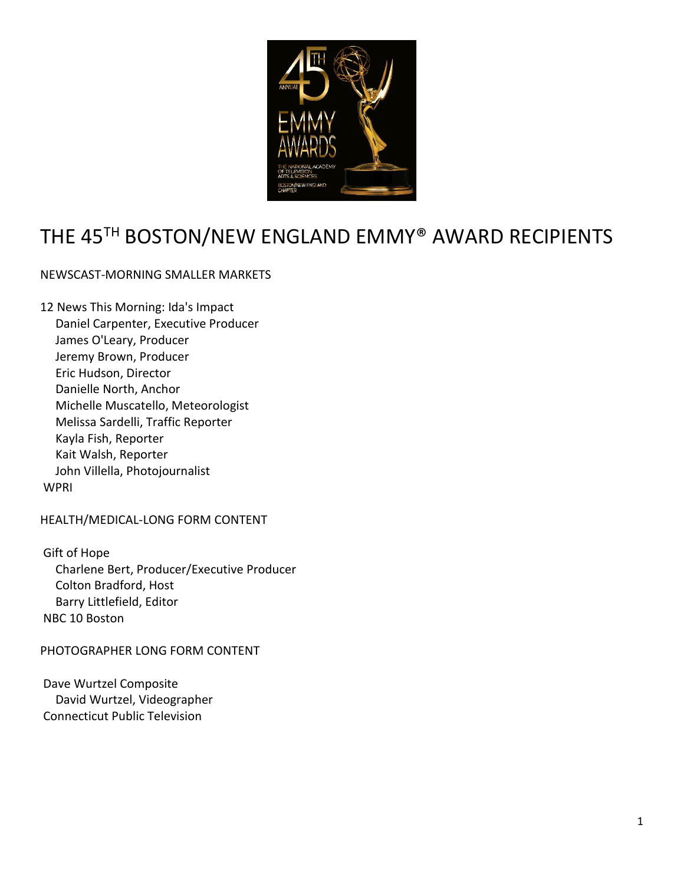

# THE 45<sup>TH</sup> BOSTON/NEW ENGLAND EMMY® AWARD RECIPIENTS

# NEWSCAST-MORNING SMALLER MARKETS

12 News This Morning: Ida's Impact Daniel Carpenter, Executive Producer James O'Leary, Producer Jeremy Brown, Producer Eric Hudson, Director Danielle North, Anchor Michelle Muscatello, Meteorologist Melissa Sardelli, Traffic Reporter Kayla Fish, Reporter Kait Walsh, Reporter John Villella, Photojournalist **WPRI** 

HEALTH/MEDICAL-LONG FORM CONTENT

Gift of Hope Charlene Bert, Producer/Executive Producer Colton Bradford, Host Barry Littlefield, Editor NBC 10 Boston

# PHOTOGRAPHER LONG FORM CONTENT

Dave Wurtzel Composite David Wurtzel, Videographer Connecticut Public Television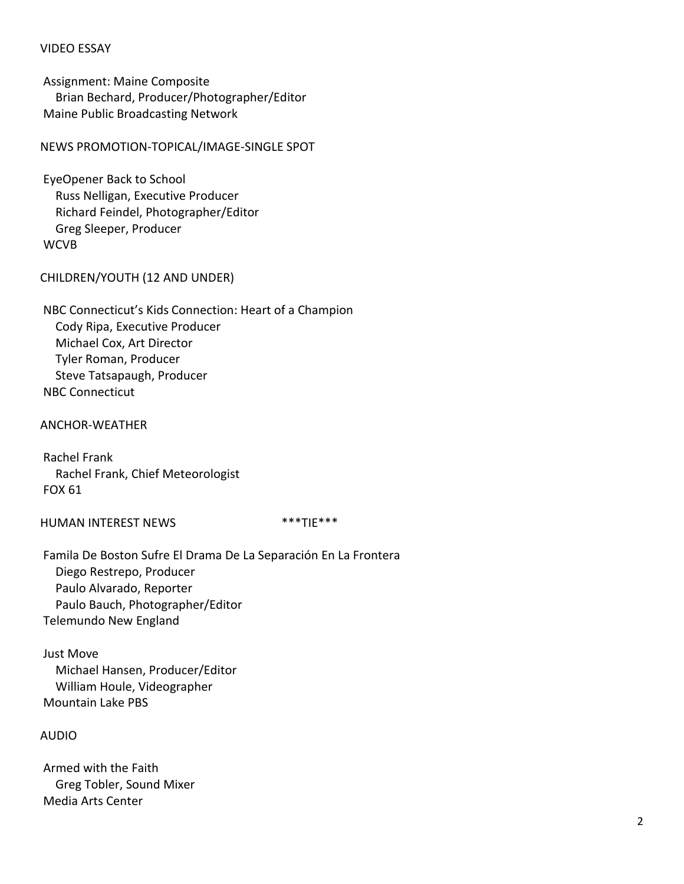# VIDEO ESSAY

Assignment: Maine Composite Brian Bechard, Producer/Photographer/Editor Maine Public Broadcasting Network

NEWS PROMOTION-TOPICAL/IMAGE-SINGLE SPOT

EyeOpener Back to School Russ Nelligan, Executive Producer Richard Feindel, Photographer/Editor Greg Sleeper, Producer **WCVB** 

CHILDREN/YOUTH (12 AND UNDER)

NBC Connecticut's Kids Connection: Heart of a Champion Cody Ripa, Executive Producer Michael Cox, Art Director Tyler Roman, Producer Steve Tatsapaugh, Producer NBC Connecticut

ANCHOR-WEATHER

Rachel Frank Rachel Frank, Chief Meteorologist FOX 61

HUMAN INTEREST NEWS \*\*\*\*TIE\*\*\*

Famila De Boston Sufre El Drama De La Separación En La Frontera Diego Restrepo, Producer Paulo Alvarado, Reporter Paulo Bauch, Photographer/Editor Telemundo New England

Just Move Michael Hansen, Producer/Editor William Houle, Videographer Mountain Lake PBS

AUDIO

Armed with the Faith Greg Tobler, Sound Mixer Media Arts Center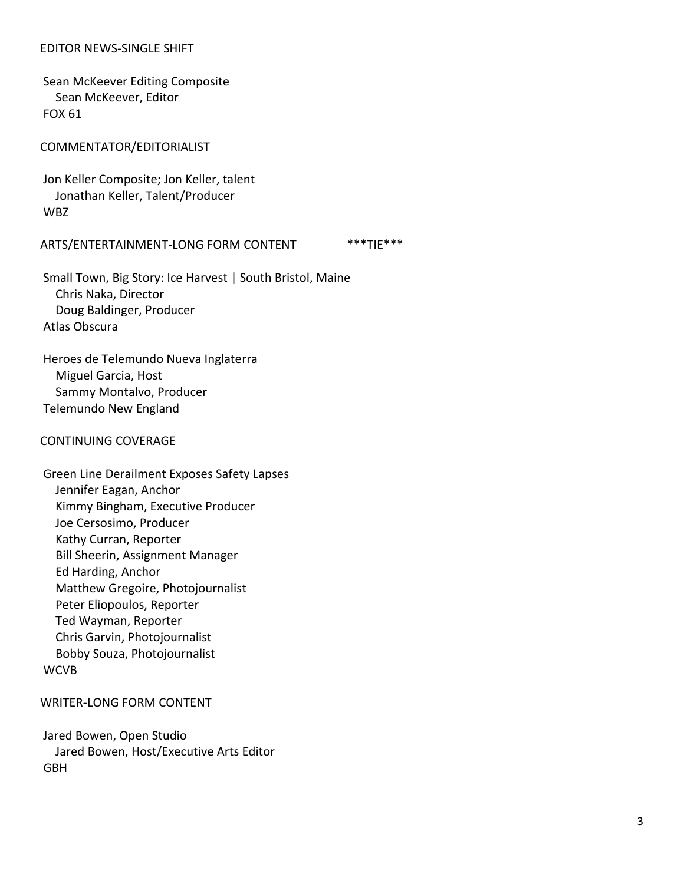### EDITOR NEWS-SINGLE SHIFT

Sean McKeever Editing Composite Sean McKeever, Editor FOX 61

COMMENTATOR/EDITORIALIST

Jon Keller Composite; Jon Keller, talent Jonathan Keller, Talent/Producer WBZ

#### ARTS/ENTERTAINMENT-LONG FORM CONTENT \*\*\*TIE\*\*\*

Small Town, Big Story: Ice Harvest | South Bristol, Maine Chris Naka, Director Doug Baldinger, Producer Atlas Obscura

Heroes de Telemundo Nueva Inglaterra Miguel Garcia, Host Sammy Montalvo, Producer Telemundo New England

#### CONTINUING COVERAGE

Green Line Derailment Exposes Safety Lapses Jennifer Eagan, Anchor Kimmy Bingham, Executive Producer Joe Cersosimo, Producer Kathy Curran, Reporter Bill Sheerin, Assignment Manager Ed Harding, Anchor Matthew Gregoire, Photojournalist Peter Eliopoulos, Reporter Ted Wayman, Reporter Chris Garvin, Photojournalist Bobby Souza, Photojournalist **WCVB** 

#### WRITER-LONG FORM CONTENT

Jared Bowen, Open Studio Jared Bowen, Host/Executive Arts Editor GBH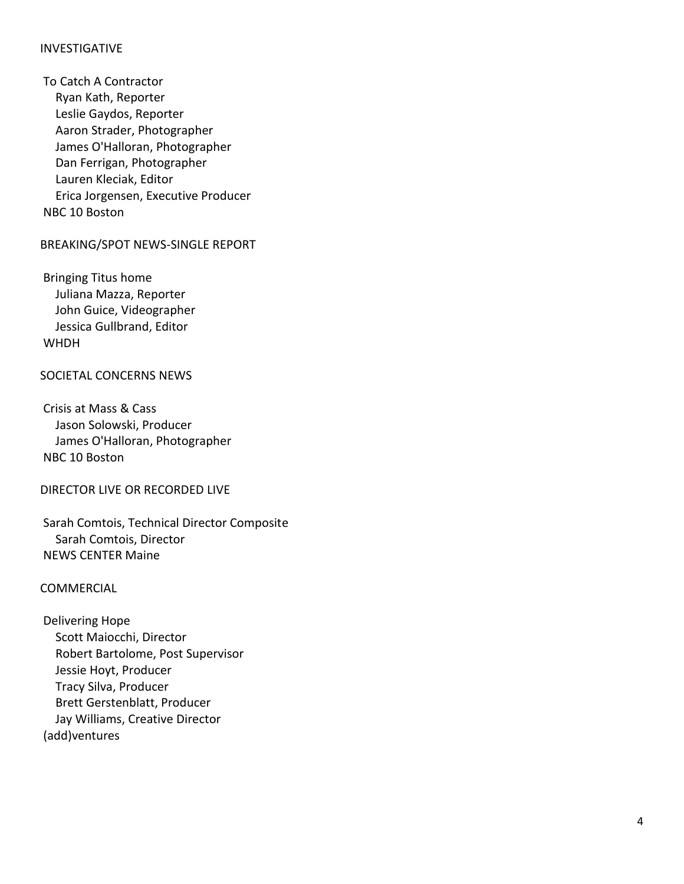# INVESTIGATIVE

To Catch A Contractor Ryan Kath, Reporter Leslie Gaydos, Reporter Aaron Strader, Photographer James O'Halloran, Photographer Dan Ferrigan, Photographer Lauren Kleciak, Editor Erica Jorgensen, Executive Producer NBC 10 Boston

BREAKING/SPOT NEWS -SINGLE REPORT

Bringing Titus home Juliana Mazza, Reporter John Guice, Videographer Jessica Gullbrand, Editor **WHDH** 

# SOCIETAL CONCERNS NEWS

Crisis at Mass & Cass Jason Solowski, Producer James O'Halloran, Photographer NBC 10 Boston

#### DIRECTOR LIVE OR RECORDED LIVE

Sarah Comtois, Technical Director Composit e Sarah Comtois, Director NEWS CENTER Maine

#### COMMERCIAL

Delivering Hope Scott Maiocchi, Director Robert Bartolome, Post Supervisor Jessie Hoyt, Producer Tracy Silva, Producer Brett Gerstenblatt, Producer Jay Williams, Creative Director (add)ventures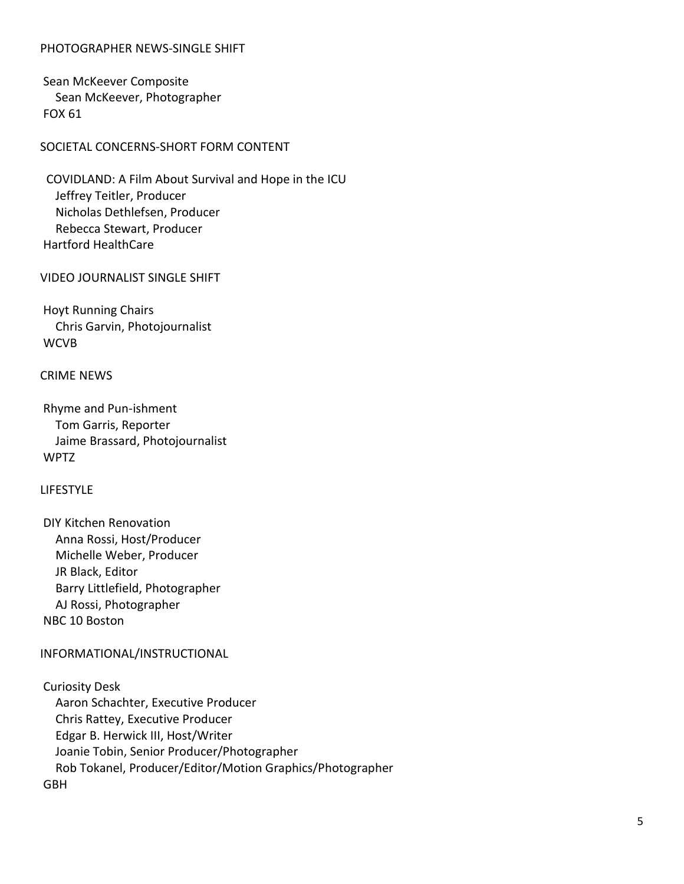# PHOTOGRAPHER NEWS-SINGLE SHIFT

Sean McKeever Composite Sean McKeever, Photographer FOX 61

SOCIETAL CONCERNS-SHORT FORM CONTENT

 COVIDLAND: A Film About Survival and Hope in the ICU Jeffrey Teitler, Producer Nicholas Dethlefsen, Producer Rebecca Stewart, Producer Hartford HealthCare

VIDEO JOURNALIST SINGLE SHIFT

Hoyt Running Chairs Chris Garvin, Photojournalist **WCVB** 

# CRIME NEWS

Rhyme and Pun-ishment Tom Garris, Reporter Jaime Brassard, Photojournalist WPTZ

#### LIFESTYLE

DIY Kitchen Renovation Anna Rossi, Host/Producer Michelle Weber, Producer JR Black, Editor Barry Littlefield, Photographer AJ Rossi, Photographer NBC 10 Boston

# INFORMATIONAL/INSTRUCTIONAL

Curiosity Desk Aaron Schachter, Executive Producer Chris Rattey, Executive Producer Edgar B. Herwick III, Host/Writer Joanie Tobin, Senior Producer/Photographer Rob Tokanel, Producer/Editor/Motion Graphics/Photographer GBH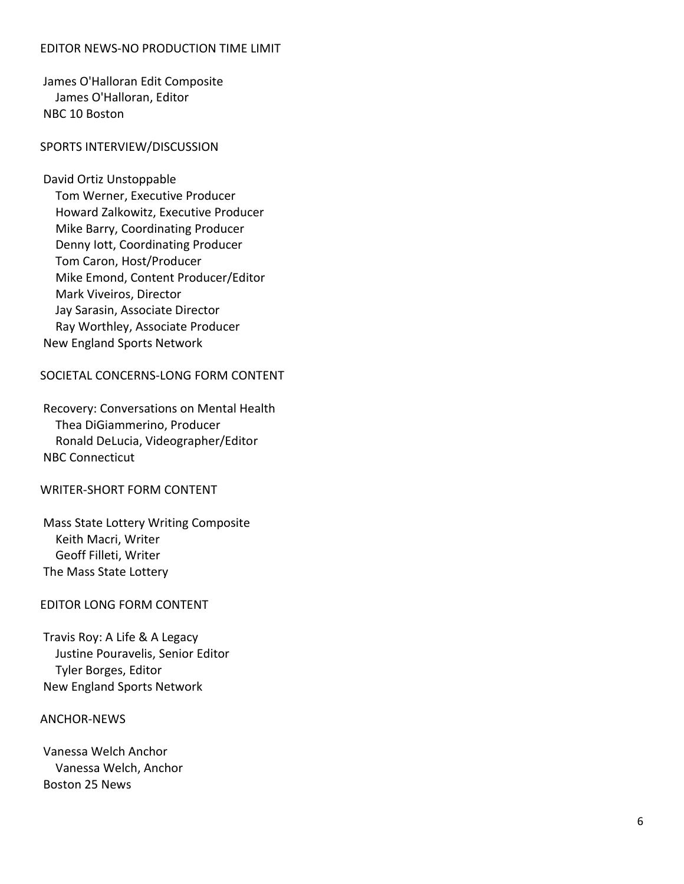# EDITOR NEWS -NO PRODUCTION TIME LIMIT

James O'Halloran Edit Composite James O'Halloran, Editor NBC 10 Boston

#### SPORTS INTERVIEW/DISCUSSION

David Ortiz Unstoppable Tom Werner, Executive Producer Howard Zalkowitz, Executive Producer Mike Barry, Coordinating Producer Denny Iott, Coordinating Producer Tom Caron, Host/Producer Mike Emond, Content Producer/Editor Mark Viveiros, Director Jay Sarasin, Associate Director Ray Worthley, Associate Producer New England Sports Network

#### SOCIETAL CONCERNS -LONG FORM CONTENT

Recovery: Conversations on Mental Health Thea DiGiammerino, Producer Ronald DeLucia, Videographer/Edito r NBC Connecticut

#### WRITER -SHORT FORM CONTENT

Mass State Lottery Writing Composite Keith Macri, Writer Geoff Filleti, Writer The Mass State Lottery

#### EDITOR LONG FORM CONTENT

Travis Roy: A Life & A Legacy Justine Pouravelis, Senior Editor Tyler Borges, Editor New England Sports Network

#### ANCHOR -NEWS

Vanessa Welch Anchor Vanessa Welch, Anchor Boston 25 News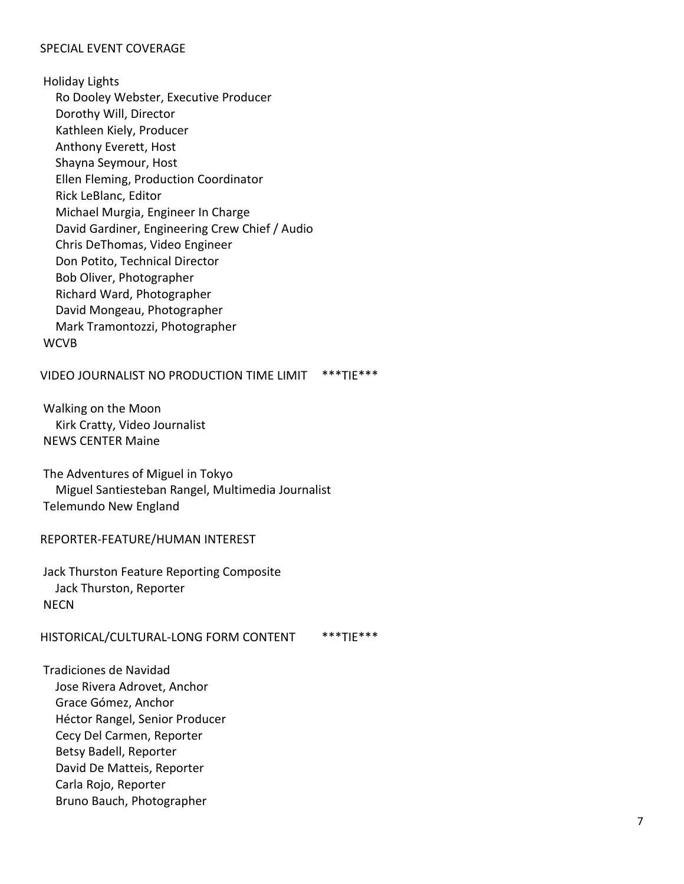# SPECIAL EVENT COVERAGE

Holiday Lights Ro Dooley Webster, Executive Producer Dorothy Will, Director Kathleen Kiely, Producer Anthony Everett, Host Shayna Seymour, Host Ellen Fleming, Production Coordinator Rick LeBlanc, Editor Michael Murgia, Engineer In Charge David Gardiner, Engineering Crew Chief / Audio Chris DeThomas, Video Engineer Don Potito, Technical Director Bob Oliver, Photographer Richard Ward, Photographer David Mongeau, Photographer Mark Tramontozzi, Photographer **WCVB** 

VIDEO JOURNALIST NO PRODUCTION TIME LIMIT \*\*\*TIE\*\*\*

Walking on the Moon Kirk Cratty, Video Journalist NEWS CENTER Maine

The Adventures of Miguel in Tokyo Miguel Santiesteban Rangel, Multimedia Journalist Telemundo New England

REPORTER-FEATURE/HUMAN INTEREST

Jack Thurston Feature Reporting Composite Jack Thurston, Reporter **NFCN** 

HISTORICAL/CULTURAL-LONG FORM CONTENT \*\*\*TIE\*\*\*

Tradiciones de Navidad Jose Rivera Adrovet, Anchor Grace Gómez, Anchor Héctor Rangel, Senior Producer Cecy Del Carmen, Reporter Betsy Badell, Reporter David De Matteis, Reporter Carla Rojo, Reporter Bruno Bauch, Photographer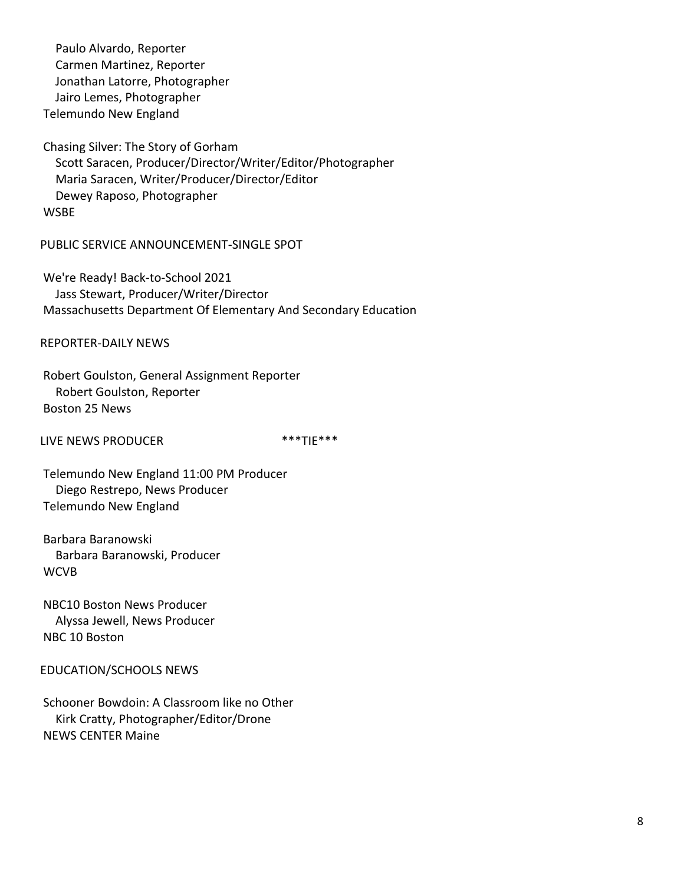Paulo Alvardo, Reporter Carmen Martinez, Reporter Jonathan Latorre, Photographer Jairo Lemes, Photographer Telemundo New England

Chasing Silver: The Story of Gorham Scott Saracen, Producer/Director/Writer/Editor/Photographer Maria Saracen, Writer/Producer/Director/Editor Dewey Raposo, Photographer WSBE

PUBLIC SERVICE ANNOUNCEMENT-SINGLE SPOT

We're Ready! Back-to-School 2021 Jass Stewart, Producer/Writer/Director Massachusetts Department Of Elementary And Secondary Education

REPORTER-DAILY NEWS

Robert Goulston, General Assignment Reporter Robert Goulston, Reporter Boston 25 News

LIVE NEWS PRODUCER \*\*\* TIE\*\*\*

Telemundo New England 11:00 PM Producer Diego Restrepo, News Producer Telemundo New England

Barbara Baranowski Barbara Baranowski, Producer **WCVB** 

NBC10 Boston News Producer Alyssa Jewell, News Producer NBC 10 Boston

EDUCATION/SCHOOLS NEWS

Schooner Bowdoin: A Classroom like no Other Kirk Cratty, Photographer/Editor/Drone NEWS CENTER Maine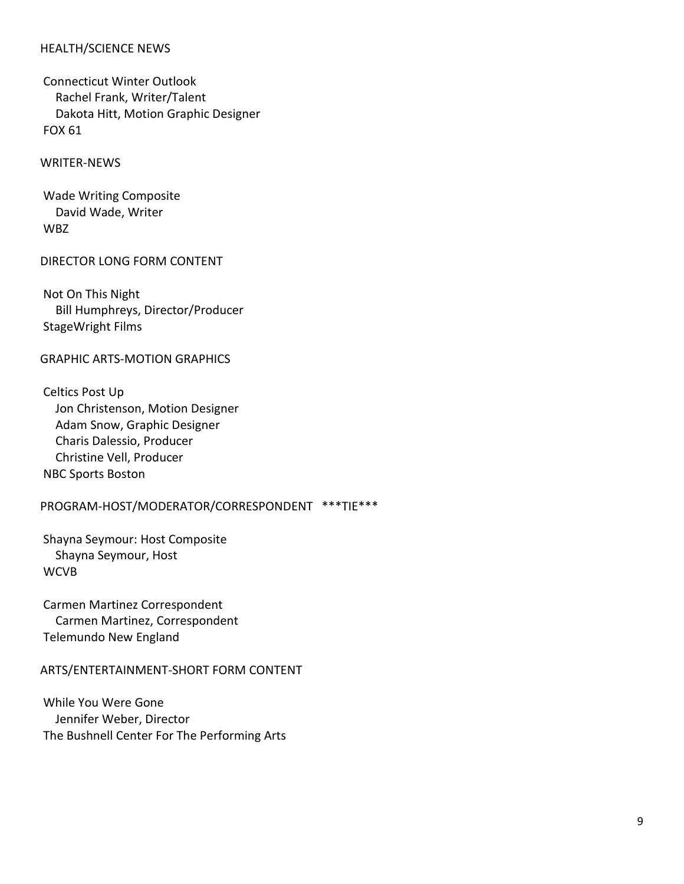# HEALTH/SCIENCE NEWS

Connecticut Winter Outlook Rachel Frank, Writer/Talent Dakota Hitt, Motion Graphic Designer FOX 61

WRITER-NEWS

Wade Writing Composite David Wade, Writer WBZ

#### DIRECTOR LONG FORM CONTENT

Not On This Night Bill Humphreys, Director/Producer StageWright Films

#### GRAPHIC ARTS-MOTION GRAPHICS

Celtics Post Up Jon Christenson, Motion Designer Adam Snow, Graphic Designer Charis Dalessio, Producer Christine Vell, Producer NBC Sports Boston

# PROGRAM-HOST/MODERATOR/CORRESPONDENT \*\*\*TIE\*\*\*

Shayna Seymour: Host Composite Shayna Seymour, Host **WCVB** 

Carmen Martinez Correspondent Carmen Martinez, Correspondent Telemundo New England

#### ARTS/ENTERTAINMENT-SHORT FORM CONTENT

While You Were Gone Jennifer Weber, Director The Bushnell Center For The Performing Arts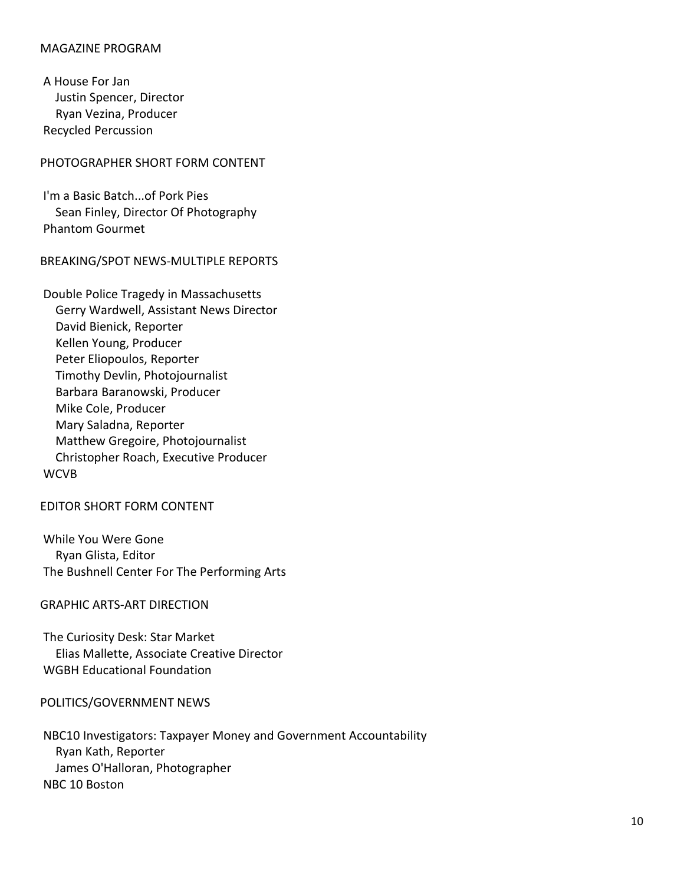# MAGAZINE PROGRAM

A House For Jan Justin Spencer, Director Ryan Vezina, Producer Recycled Percussion

# PHOTOGRAPHER SHORT FORM CONTENT

I'm a Basic Batch...of Pork Pies Sean Finley, Director Of Photography Phantom Gourmet

#### BREAKING/SPOT NEWS-MULTIPLE REPORTS

Double Police Tragedy in Massachusetts Gerry Wardwell, Assistant News Director David Bienick, Reporter Kellen Young, Producer Peter Eliopoulos, Reporter Timothy Devlin, Photojournalist Barbara Baranowski, Producer Mike Cole, Producer Mary Saladna, Reporter Matthew Gregoire, Photojournalist Christopher Roach, Executive Producer **WCVB** 

# EDITOR SHORT FORM CONTENT

While You Were Gone Ryan Glista, Editor The Bushnell Center For The Performing Arts

#### GRAPHIC ARTS-ART DIRECTION

The Curiosity Desk: Star Market Elias Mallette, Associate Creative Director WGBH Educational Foundation

#### POLITICS/GOVERNMENT NEWS

NBC10 Investigators: Taxpayer Money and Government Accountability Ryan Kath, Reporter James O'Halloran, Photographer NBC 10 Boston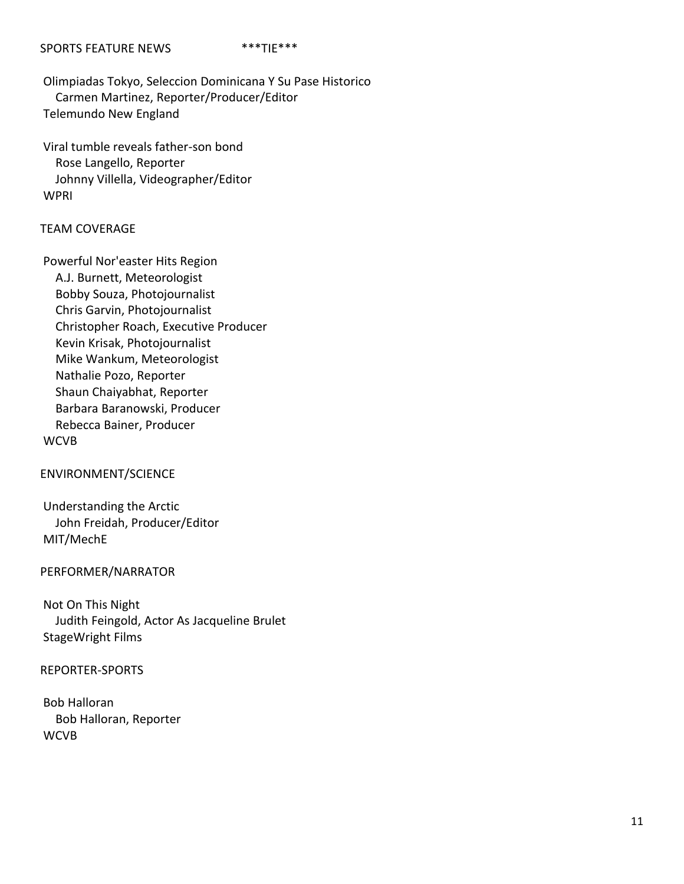#### SPORTS FEATURE NEWS \*\*\*\*TIE\*\*\*

Olimpiadas Tokyo, Seleccion Dominicana Y Su Pase Historico Carmen Martinez, Reporter/Producer/Editor Telemundo New England

Viral tumble reveals father-son bond Rose Langello, Reporter Johnny Villella, Videographer/Editor WPRI

# TEAM COVERAGE

Powerful Nor'easter Hits Region A.J. Burnett, Meteorologist Bobby Souza, Photojournalist Chris Garvin, Photojournalist Christopher Roach, Executive Producer Kevin Krisak, Photojournalist Mike Wankum, Meteorologist Nathalie Pozo, Reporter Shaun Chaiyabhat, Reporter Barbara Baranowski, Producer Rebecca Bainer, Producer **WCVB** 

#### ENVIRONMENT/SCIENCE

Understanding the Arctic John Freidah, Producer/Editor MIT/MechE

#### PERFORMER/NARRATOR

Not On This Night Judith Feingold, Actor As Jacqueline Brulet StageWright Films

# REPORTER-SPORTS

Bob Halloran Bob Halloran, Reporter WCVB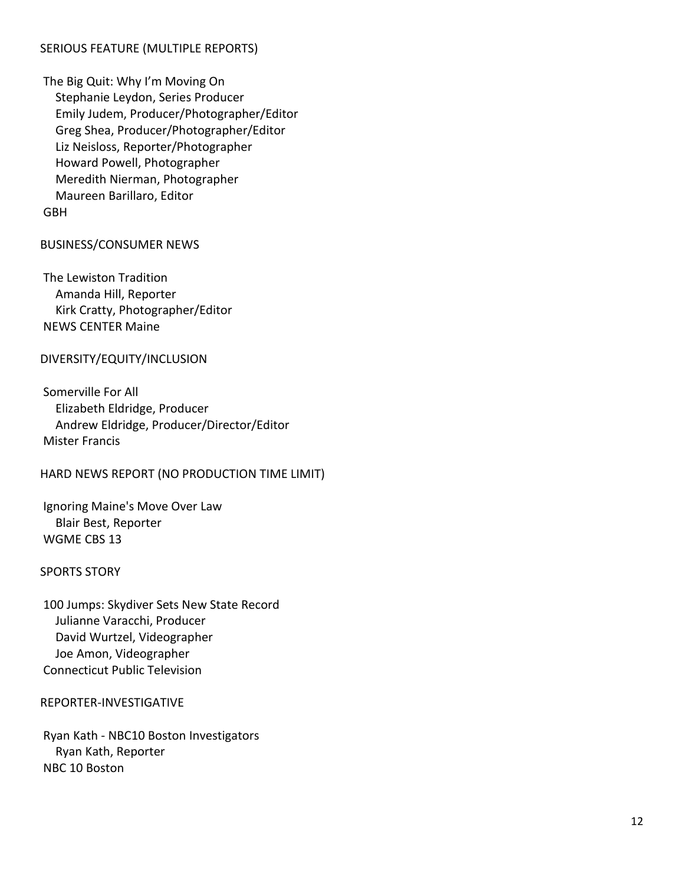# SERIOUS FEATURE (MULTIPLE REPORTS)

The Big Quit: Why I'm Moving On Stephanie Leydon, Series Producer Emily Judem, Producer/Photographer/Editor Greg Shea, Producer/Photographer/Editor Liz Neisloss, Reporter/Photographer Howard Powell, Photographer Meredith Nierman, Photographer Maureen Barillaro, Editor GBH

# BUSINESS/CONSUMER NEWS

The Lewiston Tradition Amanda Hill, Reporter Kirk Cratty, Photographer/Editor NEWS CENTER Maine

# DIVERSITY/EQUITY/INCLUSION

Somerville For All Elizabeth Eldridge, Producer Andrew Eldridge, Producer/Director/Editor Mister Francis

# HARD NEWS REPORT (NO PRODUCTION TIME LIMIT)

Ignoring Maine's Move Over Law Blair Best, Reporter WGME CBS 13

#### SPORTS STORY

100 Jumps: Skydiver Sets New State Record Julianne Varacchi, Producer David Wurtzel, Videographer Joe Amon, Videographer Connecticut Public Television

#### REPORTER-INVESTIGATIVE

Ryan Kath - NBC10 Boston Investigators Ryan Kath, Reporter NBC 10 Boston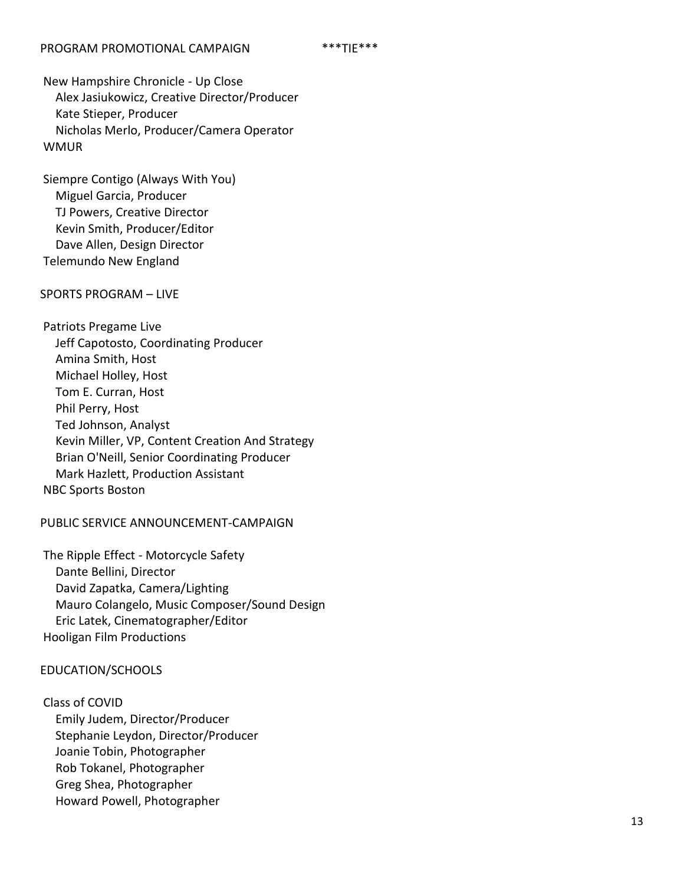New Hampshire Chronicle - Up Close Alex Jasiukowicz, Creative Director/Producer Kate Stieper, Producer Nicholas Merlo, Producer/Camera Operator WMUR

Siempre Contigo (Always With You) Miguel Garcia, Producer TJ Powers, Creative Director Kevin Smith, Producer/Editor Dave Allen, Design Director Telemundo New England

# SPORTS PROGRAM – LIVE

Patriots Pregame Live Jeff Capotosto, Coordinating Producer Amina Smith, Host Michael Holley, Host Tom E. Curran, Host Phil Perry, Host Ted Johnson, Analyst Kevin Miller, VP, Content Creation And Strategy Brian O'Neill, Senior Coordinating Producer Mark Hazlett, Production Assistant NBC Sports Boston

# PUBLIC SERVICE ANNOUNCEMENT-CAMPAIGN

The Ripple Effect - Motorcycle Safety Dante Bellini, Director David Zapatka, Camera/Lighting Mauro Colangelo, Music Composer/Sound Design Eric Latek, Cinematographer/Editor Hooligan Film Productions

# EDUCATION/SCHOOLS

Class of COVID Emily Judem, Director/Producer Stephanie Leydon, Director/Producer Joanie Tobin, Photographer Rob Tokanel, Photographer Greg Shea, Photographer Howard Powell, Photographer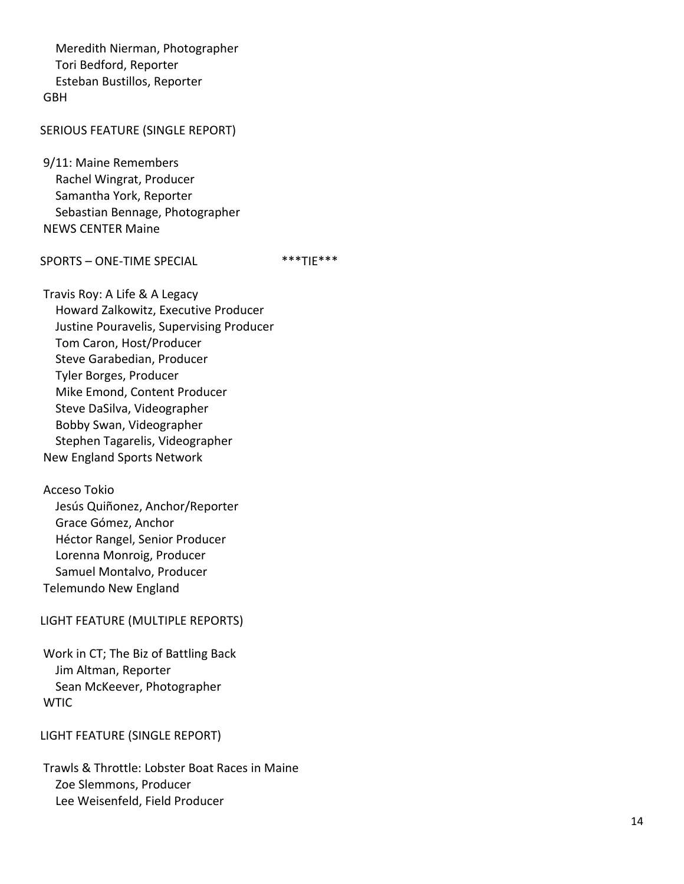Meredith Nierman, Photographer Tori Bedford, Reporter Esteban Bustillos, Reporter GBH

#### SERIOUS FEATURE (SINGLE REPORT)

9/11: Maine Remembers Rachel Wingrat, Producer Samantha York, Reporter Sebastian Bennage, Photographer NEWS CENTER Maine

#### SPORTS – ONE -TIME SPECIAL \*\*\*TIE\*\*\*

Travis Roy: A Life & A Legacy Howard Zalkowitz, Executive Producer Justine Pouravelis, Supervising Producer Tom Caron, Host/Producer Steve Garabedian, Producer Tyler Borges, Producer Mike Emond, Content Producer Steve DaSilva, Videographer Bobby Swan, Videographer Stephen Tagarelis, Videographer New England Sports Network

# Acceso Tokio

 Jesús Quiñonez, Anchor/Reporter Grace Gómez, Anchor Héctor Rangel, Senior Producer Lorenna Monroig, Producer Samuel Montalvo, Producer Telemundo New England

#### LIGHT FEATURE (MULTIPLE REPORTS)

Work in CT; The Biz of Battling Back Jim Altman, Reporter Sean McKeever, Photographer WTIC

# LIGHT FEATURE (SINGLE REPORT)

Trawls & Throttle: Lobster Boat Races in Maine Zoe Slemmons, Producer Lee Weisenfeld, Field Producer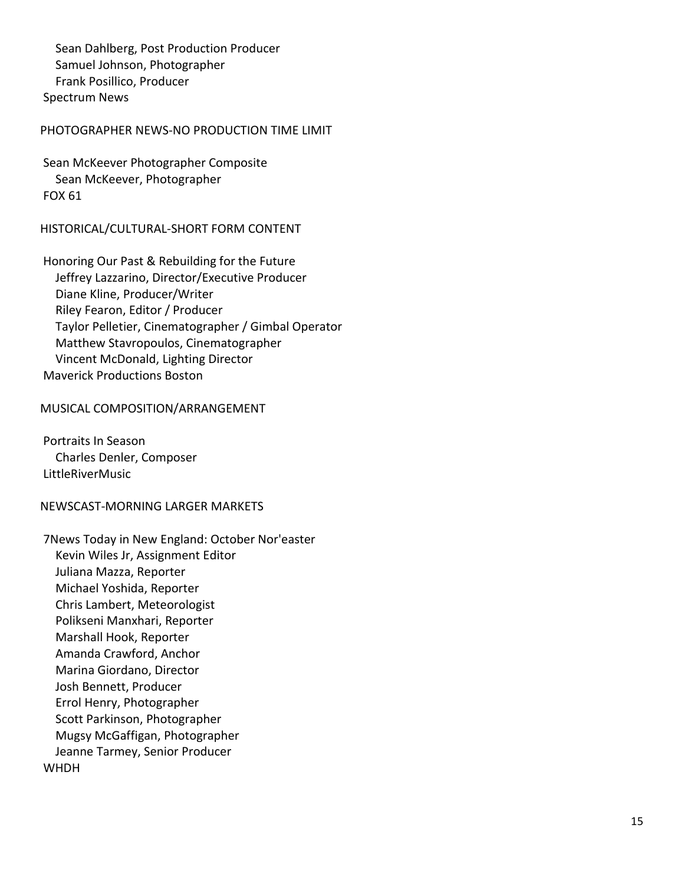Sean Dahlberg, Post Production Producer Samuel Johnson, Photographer Frank Posillico, Producer Spectrum News

# PHOTOGRAPHER NEWS-NO PRODUCTION TIME LIMIT

Sean McKeever Photographer Composite Sean McKeever, Photographer FOX 61

# HISTORICAL/CULTURAL -SHORT FORM CONTENT

Honoring Our Past & Rebuilding for the Future Jeffrey Lazzarino, Director/Executive Producer Diane Kline, Producer/Writer Riley Fearon, Editor / Producer Taylor Pelletier, Cinematographer / Gimbal Operator Matthew Stavropoulos, Cinematographer Vincent McDonald, Lighting Director Maverick Productions Boston

# MUSICAL COMPOSITION/ARRANGEMENT

Portraits In Season Charles Denler, Composer LittleRiverMusic

#### NEWSCAST -MORNING LARGER MARKETS

7News Today in New England: October Nor'easter Kevin Wiles Jr, Assignment Editor Juliana Mazza, Reporter Michael Yoshida, Reporter Chris Lambert, Meteorologist Polikseni Manxhari, Reporter Marshall Hook, Reporter Amanda Crawford, Anchor Marina Giordano, Director Josh Bennett, Producer Errol Henry, Photographer Scott Parkinson, Photographer Mugsy McGaffigan, Photographer Jeanne Tarmey, Senior Producer WHDH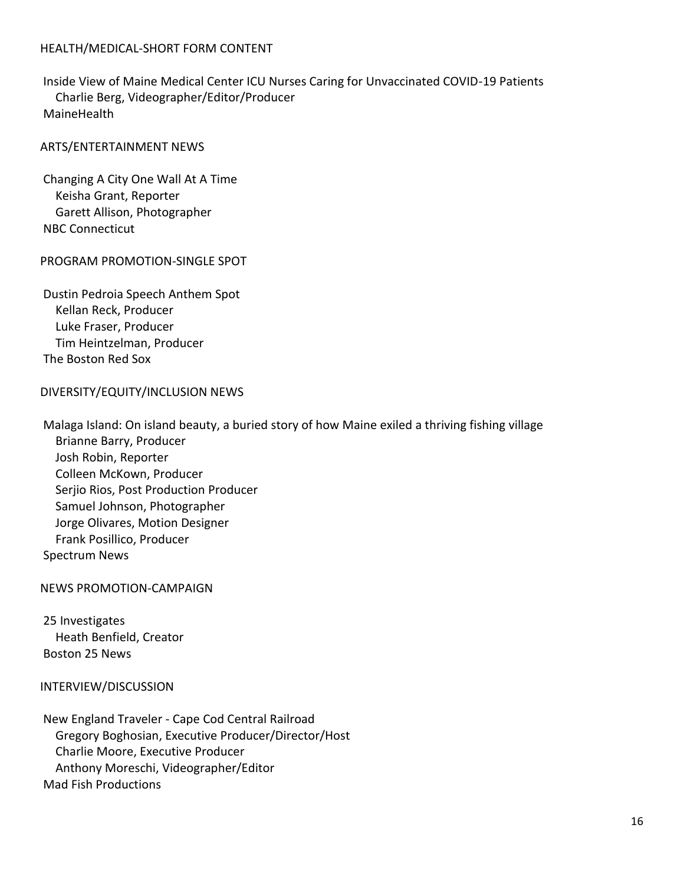# HEALTH/MEDICAL-SHORT FORM CONTENT

Inside View of Maine Medical Center ICU Nurses Caring for Unvaccinated COVID-19 Patients Charlie Berg, Videographer/Editor/Producer **MaineHealth** 

### ARTS/ENTERTAINMENT NEWS

Changing A City One Wall At A Time Keisha Grant, Reporter Garett Allison, Photographer NBC Connecticut

#### PROGRAM PROMOTION-SINGLE SPOT

Dustin Pedroia Speech Anthem Spot Kellan Reck, Producer Luke Fraser, Producer Tim Heintzelman, Producer The Boston Red Sox

#### DIVERSITY/EQUITY/INCLUSION NEWS

Malaga Island: On island beauty, a buried story of how Maine exiled a thriving fishing village Brianne Barry, Producer Josh Robin, Reporter Colleen McKown, Producer Serjio Rios, Post Production Producer Samuel Johnson, Photographer Jorge Olivares, Motion Designer Frank Posillico, Producer Spectrum News

NEWS PROMOTION-CAMPAIGN

25 Investigates Heath Benfield, Creator Boston 25 News

#### INTERVIEW/DISCUSSION

New England Traveler - Cape Cod Central Railroad Gregory Boghosian, Executive Producer/Director/Host Charlie Moore, Executive Producer Anthony Moreschi, Videographer/Editor Mad Fish Productions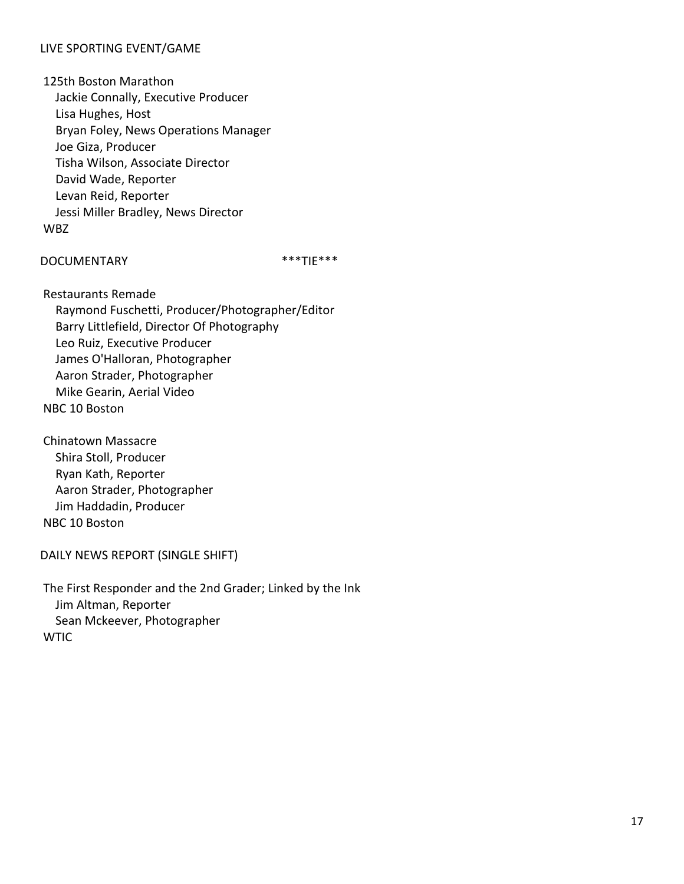# LIVE SPORTING EVENT/GAME

125th Boston Marathon Jackie Connally, Executive Producer Lisa Hughes, Host Bryan Foley, News Operations Manager Joe Giza, Producer Tisha Wilson, Associate Director David Wade, Reporter Levan Reid, Reporter Jessi Miller Bradley, News Director WBZ

# DOCUMENTARY \*\*\*TIE\*\*\*

Restaurants Remade

 Raymond Fuschetti, Producer/Photographer/Editor Barry Littlefield, Director Of Photography Leo Ruiz, Executive Producer James O'Halloran, Photographer Aaron Strader, Photographer Mike Gearin, Aerial Video NBC 10 Boston

Chinatown Massacre Shira Stoll, Producer Ryan Kath, Reporter Aaron Strader, Photographer Jim Haddadin, Producer NBC 10 Boston

DAILY NEWS REPORT (SINGLE SHIFT)

The First Responder and the 2nd Grader; Linked by the Ink Jim Altman, Reporter Sean Mckeever, Photographer **WTIC**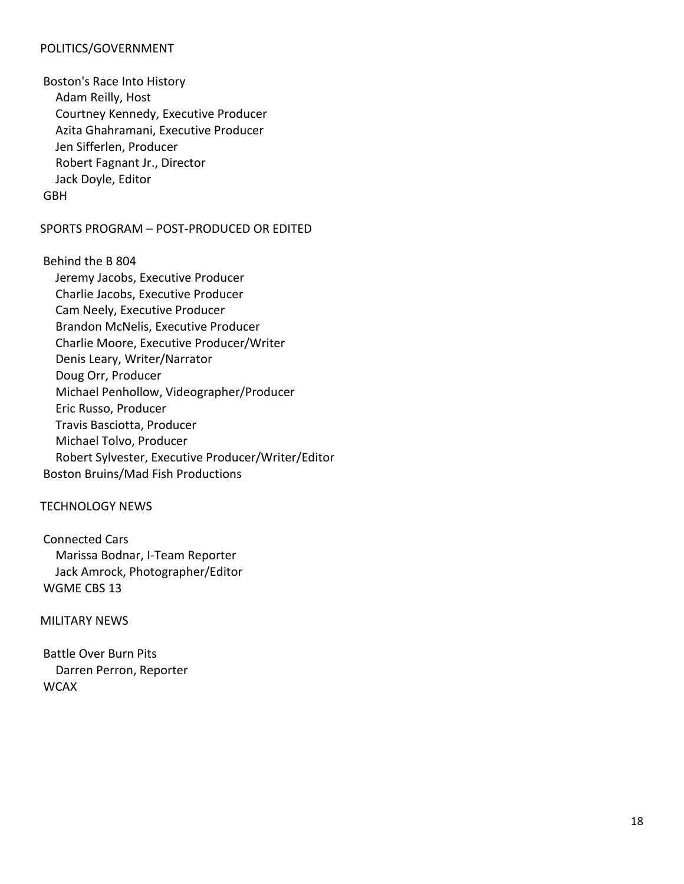# POLITICS/GOVERNMENT

Boston's Race Into History Adam Reilly, Host Courtney Kennedy, Executive Producer Azita Ghahramani, Executive Producer Jen Sifferlen, Producer Robert Fagnant Jr., Director Jack Doyle, Editor GBH

# SPORTS PROGRAM – POST-PRODUCED OR EDITED

Behind the B 804 Jeremy Jacobs, Executive Producer Charlie Jacobs, Executive Producer Cam Neely, Executive Producer Brandon McNelis, Executive Producer Charlie Moore, Executive Producer/Writer Denis Leary, Writer/Narrator Doug Orr, Producer Michael Penhollow, Videographer/Producer Eric Russo, Producer Travis Basciotta, Producer Michael Tolvo, Producer Robert Sylvester, Executive Producer/Writer/Editor Boston Bruins/Mad Fish Productions

# TECHNOLOGY NEWS

Connected Cars Marissa Bodnar, I-Team Reporter Jack Amrock, Photographer/Editor WGME CBS 13

MILITARY NEWS

Battle Over Burn Pits Darren Perron, Reporter **WCAX**